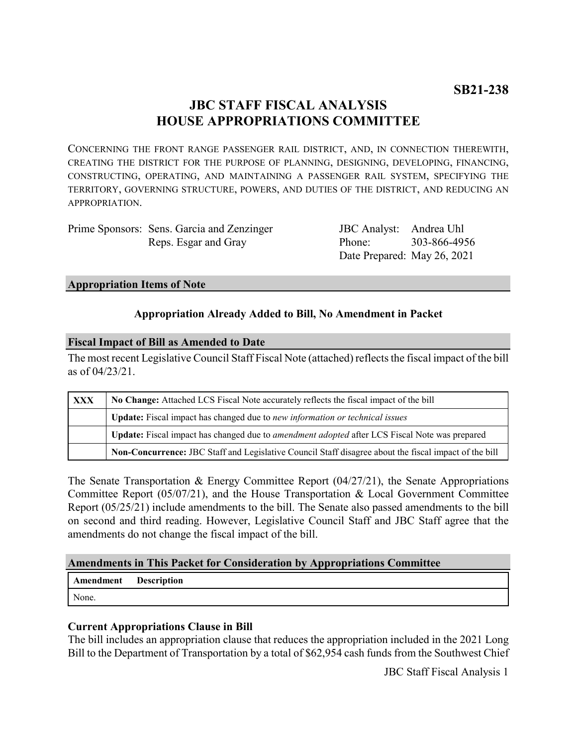# **JBC STAFF FISCAL ANALYSIS HOUSE APPROPRIATIONS COMMITTEE**

CONCERNING THE FRONT RANGE PASSENGER RAIL DISTRICT, AND, IN CONNECTION THEREWITH, CREATING THE DISTRICT FOR THE PURPOSE OF PLANNING, DESIGNING, DEVELOPING, FINANCING, CONSTRUCTING, OPERATING, AND MAINTAINING A PASSENGER RAIL SYSTEM, SPECIFYING THE TERRITORY, GOVERNING STRUCTURE, POWERS, AND DUTIES OF THE DISTRICT, AND REDUCING AN APPROPRIATION.

| Prime Sponsors: Sens. Garcia and Zenzinger |
|--------------------------------------------|
| Reps. Esgar and Gray                       |

JBC Analyst: Andrea Uhl Phone: Date Prepared: May 26, 2021 303-866-4956

#### **Appropriation Items of Note**

#### **Appropriation Already Added to Bill, No Amendment in Packet**

#### **Fiscal Impact of Bill as Amended to Date**

The most recent Legislative Council Staff Fiscal Note (attached) reflects the fiscal impact of the bill as of 04/23/21.

| <b>XXX</b> | No Change: Attached LCS Fiscal Note accurately reflects the fiscal impact of the bill                 |  |
|------------|-------------------------------------------------------------------------------------------------------|--|
|            | <b>Update:</b> Fiscal impact has changed due to new information or technical issues                   |  |
|            | Update: Fiscal impact has changed due to <i>amendment adopted</i> after LCS Fiscal Note was prepared  |  |
|            | Non-Concurrence: JBC Staff and Legislative Council Staff disagree about the fiscal impact of the bill |  |

The Senate Transportation & Energy Committee Report (04/27/21), the Senate Appropriations Committee Report (05/07/21), and the House Transportation & Local Government Committee Report (05/25/21) include amendments to the bill. The Senate also passed amendments to the bill on second and third reading. However, Legislative Council Staff and JBC Staff agree that the amendments do not change the fiscal impact of the bill.

#### **Amendments in This Packet for Consideration by Appropriations Committee**

| <b>Amendment</b> Description |  |
|------------------------------|--|
| None.                        |  |

### **Current Appropriations Clause in Bill**

The bill includes an appropriation clause that reduces the appropriation included in the 2021 Long Bill to the Department of Transportation by a total of \$62,954 cash funds from the Southwest Chief